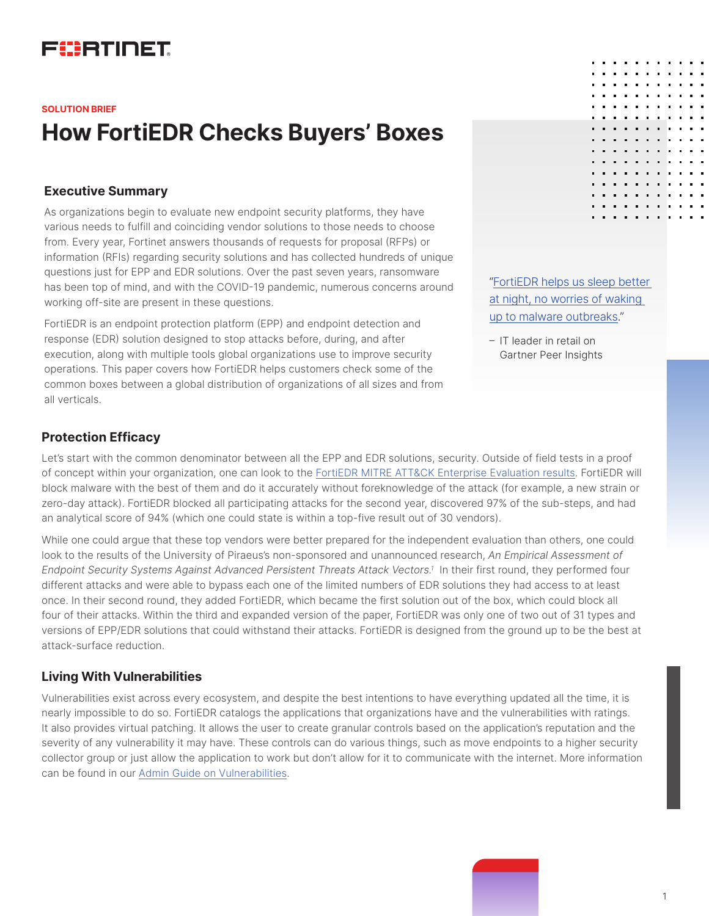# FURTINET

# **How FortiEDR Checks Buyers' Boxes SOLUTION BRIEF**

## **Executive Summary**

As organizations begin to evaluate new endpoint security platforms, they have various needs to fulfill and coinciding vendor solutions to those needs to choose from. Every year, Fortinet answers thousands of requests for proposal (RFPs) or information (RFIs) regarding security solutions and has collected hundreds of unique questions just for EPP and EDR solutions. Over the past seven years, ransomware has been top of mind, and with the COVID-19 pandemic, numerous concerns around working off-site are present in these questions.

FortiEDR is an endpoint protection platform (EPP) and endpoint detection and response (EDR) solution designed to stop attacks before, during, and after execution, along with multiple tools global organizations use to improve security operations. This paper covers how FortiEDR helps customers check some of the common boxes between a global distribution of organizations of all sizes and from all verticals.

# ["FortiEDR helps us sleep better](https://www.gartner.com/reviews/market/endpoint-protection-platforms/vendor/fortinet/product/fortiedr/review/view/3560851)  [at night, no worries of waking](https://www.gartner.com/reviews/market/endpoint-protection-platforms/vendor/fortinet/product/fortiedr/review/view/3560851)  [up to malware outbreaks.](https://www.gartner.com/reviews/market/endpoint-protection-platforms/vendor/fortinet/product/fortiedr/review/view/3560851)"

– IT leader in retail on Gartner Peer Insights

# **Protection Efficacy**

Let's start with the common denominator between all the EPP and EDR solutions, security. Outside of field tests in a proof of concept within your organization, one can look to the [FortiEDR MITRE ATT&CK Enterprise Evaluation results.](https://attackevals.mitre-engenuity.org/enterprise/participants/fortinet?view=results&adversary=wizard-spider-sandworm&scenario=1) FortiEDR will block malware with the best of them and do it accurately without foreknowledge of the attack (for example, a new strain or zero-day attack). FortiEDR blocked all participating attacks for the second year, discovered 97% of the sub-steps, and had an analytical score of 94% (which one could state is within a top-five result out of 30 vendors).

While one could argue that these top vendors were better prepared for the independent evaluation than others, one could look to the results of the University of Piraeus's non-sponsored and unannounced research, *An Empirical Assessment of Endpoint Security Systems Against Advanced Persistent Threats Attack Vectors.1* In their first round, they performed four different attacks and were able to bypass each one of the limited numbers of EDR solutions they had access to at least once. In their second round, they added FortiEDR, which became the first solution out of the box, which could block all four of their attacks. Within the third and expanded version of the paper, FortiEDR was only one of two out of 31 types and versions of EPP/EDR solutions that could withstand their attacks. FortiEDR is designed from the ground up to be the best at attack-surface reduction.

# **Living With Vulnerabilities**

Vulnerabilities exist across every ecosystem, and despite the best intentions to have everything updated all the time, it is nearly impossible to do so. FortiEDR catalogs the applications that organizations have and the vulnerabilities with ratings. It also provides virtual patching. It allows the user to create granular controls based on the application's reputation and the severity of any vulnerability it may have. These controls can do various things, such as move endpoints to a higher security collector group or just allow the application to work but don't allow for it to communicate with the internet. More information can be found in our [Admin Guide on Vulnerabilities.](https://docs.fortinet.com/document/fortiedr/5.1.0/administration-guide/255973/vulnerability)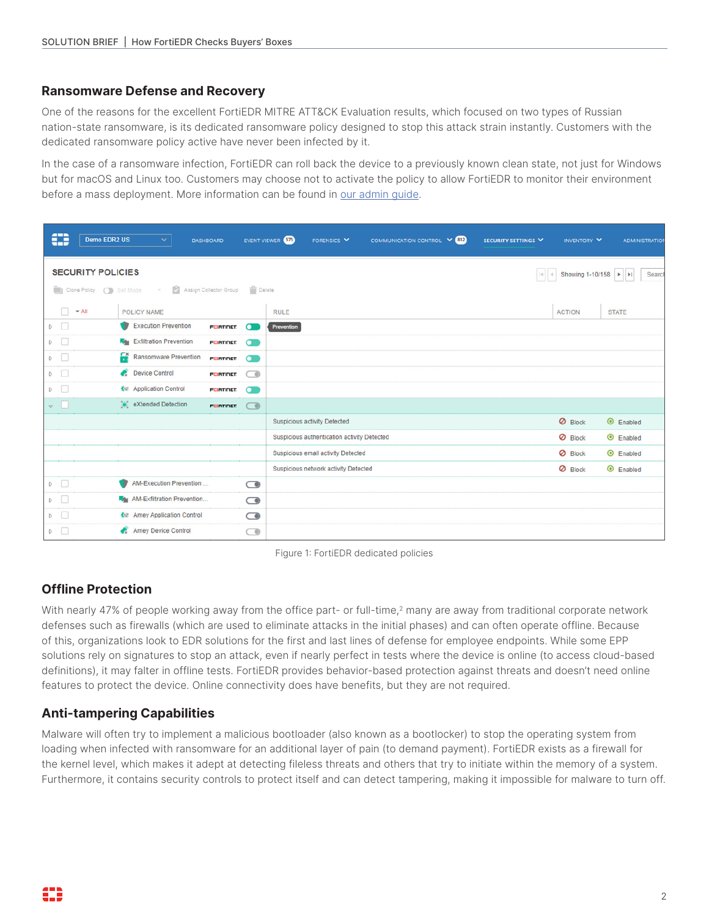#### **Ransomware Defense and Recovery**

One of the reasons for the excellent FortiEDR MITRE ATT&CK Evaluation results, which focused on two types of Russian nation-state ransomware, is its dedicated ransomware policy designed to stop this attack strain instantly. Customers with the dedicated ransomware policy active have never been infected by it.

In the case of a ransomware infection, FortiEDR can roll back the device to a previously known clean state, not just for Windows but for macOS and Linux too. Customers may choose not to activate the policy to allow FortiEDR to monitor their environment before a mass deployment. More information can be found in [our admin guide.](https://docs.fortinet.com/product/fortiedr/)

|                                                                              | ⊕ | <b>Demo EDR2 US</b>       |   | ×.                                    | <b>DASHBOARD</b>       |                   | EVENT VIEWER 573 | FORENSICS <sup>V</sup>                      | COMMUNICATION CONTROL V 812 |  | SECURITY SETTINGS |               | INVENTORY V    |                 | <b>ADMINISTRATION</b> |
|------------------------------------------------------------------------------|---|---------------------------|---|---------------------------------------|------------------------|-------------------|------------------|---------------------------------------------|-----------------------------|--|-------------------|---------------|----------------|-----------------|-----------------------|
| <b>SECURITY POLICIES</b><br>Showing 1-10/158 ▶ ▶<br>$ \mathcal{A} \cdot $ of |   |                           |   |                                       |                        |                   |                  |                                             |                             |  | Search            |               |                |                 |                       |
|                                                                              |   | Clone Policy (C) Set Mode |   | $\mathcal{L}_{\mathcal{F}}$           | Assign Collector Group | <b>Delete</b>     |                  |                                             |                             |  |                   |               |                |                 |                       |
|                                                                              | Ω | $\blacktriangledown$ All  |   | POLICY NAME                           |                        |                   | <b>RULE</b>      |                                             |                             |  |                   | <b>ACTION</b> |                | <b>STATE</b>    |                       |
|                                                                              | D |                           |   | <b>Execution Prevention</b>           | <b>FERTINET</b>        | σ                 | Prevention       |                                             |                             |  |                   |               |                |                 |                       |
|                                                                              | D |                           |   | <b>Kay</b> Exfiltration Prevention    | <b>FERTINET</b>        | $\mathbf{\Omega}$ |                  |                                             |                             |  |                   |               |                |                 |                       |
|                                                                              | D |                           | £ | <b>Ransomware Prevention</b>          | <b>FURTIDET</b>        | $\sigma$          |                  |                                             |                             |  |                   |               |                |                 |                       |
|                                                                              | D |                           |   | <b>Device Control</b>                 | <b>FERTINET</b>        | ⌒◎                |                  |                                             |                             |  |                   |               |                |                 |                       |
|                                                                              | D |                           |   | K <sup>I</sup> Application Control    | <b>FERTINET</b>        | $\sim$            |                  |                                             |                             |  |                   |               |                |                 |                       |
| $\nabla$                                                                     |   |                           |   | eXtended Detection                    | <b>FERTINET</b>        | $\bigcirc$        |                  |                                             |                             |  |                   |               |                |                 |                       |
|                                                                              |   |                           |   |                                       |                        |                   |                  | <b>Suspicious activity Detected</b>         |                             |  |                   |               | <b>Ø</b> Block | $\odot$ Enabled |                       |
|                                                                              |   |                           |   |                                       |                        |                   |                  | Suspicious authentication activity Detected |                             |  |                   |               | <b>Ø</b> Block | $\odot$ Enabled |                       |
|                                                                              |   |                           |   |                                       |                        |                   |                  | Suspicious email activity Detected          |                             |  |                   |               | <b>Ø</b> Block | $\odot$ Enabled |                       |
|                                                                              |   |                           |   |                                       |                        |                   |                  | Suspicious network activity Detected        |                             |  |                   |               | <b>Ø</b> Block | C Enabled       |                       |
|                                                                              | D |                           |   | AM-Execution Prevention               |                        | $\bigcirc$        |                  |                                             |                             |  |                   |               |                |                 |                       |
|                                                                              | D |                           |   | <b>Key</b> AM-Exfiltration Prevention |                        | $\bigcirc$        |                  |                                             |                             |  |                   |               |                |                 |                       |
|                                                                              | D |                           |   | K H Amey Application Control          |                        | $\bigcirc$        |                  |                                             |                             |  |                   |               |                |                 |                       |
|                                                                              | D |                           |   | <b>Amey Device Control</b>            |                        | $\bigcirc$        |                  |                                             |                             |  |                   |               |                |                 |                       |



# **Offline Protection**

With nearly 47% of people working away from the office part- or full-time, $2$  many are away from traditional corporate network defenses such as firewalls (which are used to eliminate attacks in the initial phases) and can often operate offline. Because of this, organizations look to EDR solutions for the first and last lines of defense for employee endpoints. While some EPP solutions rely on signatures to stop an attack, even if nearly perfect in tests where the device is online (to access cloud-based definitions), it may falter in offline tests. FortiEDR provides behavior-based protection against threats and doesn't need online features to protect the device. Online connectivity does have benefits, but they are not required.

# **Anti-tampering Capabilities**

Malware will often try to implement a malicious bootloader (also known as a bootlocker) to stop the operating system from loading when infected with ransomware for an additional layer of pain (to demand payment). FortiEDR exists as a firewall for the kernel level, which makes it adept at detecting fileless threats and others that try to initiate within the memory of a system. Furthermore, it contains security controls to protect itself and can detect tampering, making it impossible for malware to turn off.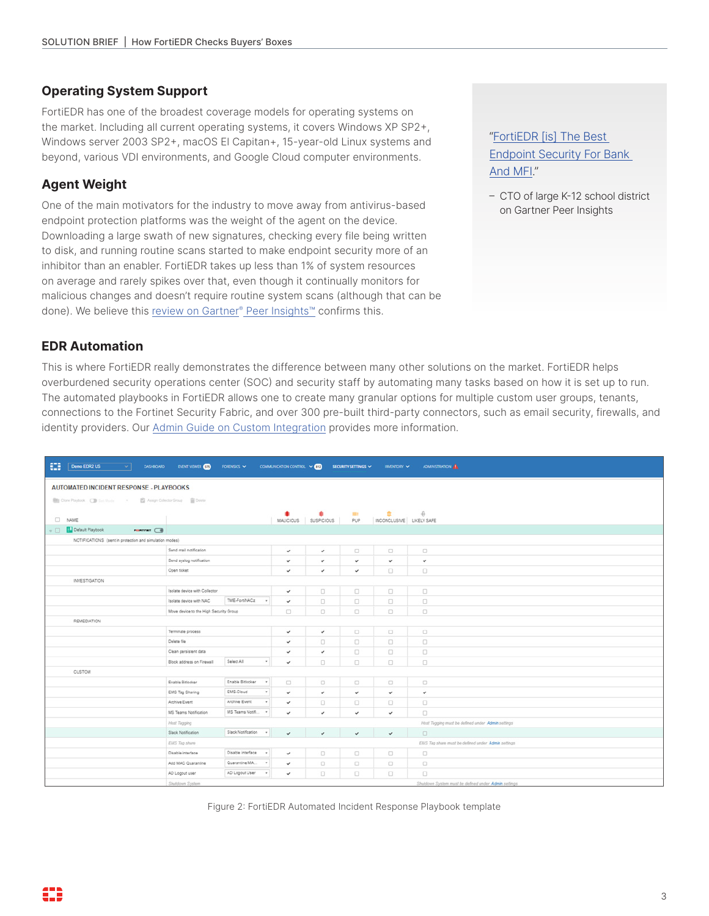#### **Operating System Support**

FortiEDR has one of the broadest coverage models for operating systems on the market. Including all current operating systems, it covers Windows XP SP2+, Windows server 2003 SP2+, macOS El Capitan+, 15-year-old Linux systems and beyond, various VDI environments, and Google Cloud computer environments.

# **Agent Weight**

One of the main motivators for the industry to move away from antivirus-based endpoint protection platforms was the weight of the agent on the device. Downloading a large swath of new signatures, checking every file being written to disk, and running routine scans started to make endpoint security more of an inhibitor than an enabler. FortiEDR takes up less than 1% of system resources on average and rarely spikes over that, even though it continually monitors for malicious changes and doesn't require routine system scans (although that can be done). We believe this [review on Gartner® Peer Insights™](https://www.gartner.com/reviews/market/endpoint-protection-platforms/vendor/fortinet/product/fortiedr/review/view/527023) confirms this.

["FortiEDR \[is\] The Best](https://www.gartner.com/reviews/market/endpoint-protection-platforms/vendor/fortinet/product/fortiedr/review/view/3713396)  [Endpoint Security For Bank](https://www.gartner.com/reviews/market/endpoint-protection-platforms/vendor/fortinet/product/fortiedr/review/view/3713396)  [And MFI.](https://www.gartner.com/reviews/market/endpoint-protection-platforms/vendor/fortinet/product/fortiedr/review/view/3713396)"

– CTO of large K-12 school district on Gartner Peer Insights

# **EDR Automation**

This is where FortiEDR really demonstrates the difference between many other solutions on the market. FortiEDR helps overburdened security operations center (SOC) and security staff by automating many tasks based on how it is set up to run. The automated playbooks in FortiEDR allows one to create many granular options for multiple custom user groups, tenants, connections to the Fortinet Security Fabric, and over 300 pre-built third-party connectors, such as email security, firewalls, and identity providers. Our [Admin Guide on Custom Integration](https://docs.fortinet.com/document/fortiedr/5.1.0/administration-guide/139939/custom-integration) provides more information.

| ₩<br>Demo EDR2 US<br>$\sim$<br>DASHIOARD<br><b>EVENT VIEWER 633</b><br>FORENSICS V<br>COMMUNICATION CONTROL V <b>(12)</b><br>SECURITY SETTINGS $\sim$<br><b>ADMINISTRATION ALL</b><br>INVENTORY V |                                                                     |                         |                                   |                     |                                          |                                                      |  |  |  |  |  |
|---------------------------------------------------------------------------------------------------------------------------------------------------------------------------------------------------|---------------------------------------------------------------------|-------------------------|-----------------------------------|---------------------|------------------------------------------|------------------------------------------------------|--|--|--|--|--|
| <b>AUTOMATED INCIDENT RESPONSE - PLAYBOOKS</b>                                                                                                                                                    |                                                                     |                         |                                   |                     |                                          |                                                      |  |  |  |  |  |
|                                                                                                                                                                                                   |                                                                     |                         |                                   |                     |                                          |                                                      |  |  |  |  |  |
| Core Playbook ( Set Mode ) +<br>B Assign Collector Group ( Collector                                                                                                                              |                                                                     |                         |                                   |                     |                                          |                                                      |  |  |  |  |  |
| $\Box$ NAME                                                                                                                                                                                       |                                                                     | ٠                       | $\bullet$<br>MALICIOUS SUSPICIOUS | $\mathbf{m}$<br>PUP | $\mathbf{r}$<br>INCONCLUSIVE LIKELY SAFE | $\theta$                                             |  |  |  |  |  |
| Default Playbook<br>$\circ$ $\Box$<br>connex ( 6)                                                                                                                                                 |                                                                     |                         |                                   |                     |                                          |                                                      |  |  |  |  |  |
| NOTIFICATIONS (sent in protection and simulation modes)                                                                                                                                           |                                                                     |                         |                                   |                     |                                          |                                                      |  |  |  |  |  |
|                                                                                                                                                                                                   | Send mail notification                                              | $\checkmark$            | ٠                                 | $\Box$              | $\Box$                                   | $\Box$                                               |  |  |  |  |  |
|                                                                                                                                                                                                   | Send syslog notification                                            | $\checkmark$            | $\checkmark$                      | $\checkmark$        | $\checkmark$                             | v                                                    |  |  |  |  |  |
|                                                                                                                                                                                                   | Open ticket                                                         | $\checkmark$            | $\checkmark$                      | $\checkmark$        | $\Box$                                   | $\Box$                                               |  |  |  |  |  |
| <b>INVESTIGATION</b>                                                                                                                                                                              |                                                                     |                         |                                   |                     |                                          |                                                      |  |  |  |  |  |
|                                                                                                                                                                                                   | Isolate device with Collector                                       | $\checkmark$            | $\Box$                            | $\Box$              | $\Box$                                   | $\Box$                                               |  |  |  |  |  |
|                                                                                                                                                                                                   | TME-FortNACz<br>Isolate device with NAC                             | $\checkmark$<br>$\sim$  | $\Box$                            | $\Box$              | $\Box$                                   | $\Box$                                               |  |  |  |  |  |
|                                                                                                                                                                                                   | Move device to the High Security Group                              | $\Box$                  | $\Box$                            | $\Box$              | $\Box$                                   | $\Box$                                               |  |  |  |  |  |
| <b>REMEDIATION</b>                                                                                                                                                                                |                                                                     |                         |                                   |                     |                                          |                                                      |  |  |  |  |  |
|                                                                                                                                                                                                   | Terminate process                                                   | $\checkmark$            | $\checkmark$                      | $\Box$              | $\Box$                                   | $\qquad \qquad \Box$                                 |  |  |  |  |  |
|                                                                                                                                                                                                   | Delete file                                                         | $\checkmark$            | 0                                 | $\Box$              | $\Box$                                   | $\Box$                                               |  |  |  |  |  |
|                                                                                                                                                                                                   | Clean persistent data                                               | $\checkmark$            | $\checkmark$                      | $\Box$              | 0                                        | $\qquad \qquad \Box$                                 |  |  |  |  |  |
|                                                                                                                                                                                                   | Select All<br>Block address on Firewall                             | $\tau$<br>$\checkmark$  | 0                                 | $\Box$              | $\Box$                                   | $\Box$                                               |  |  |  |  |  |
| <b>CUSTOM</b>                                                                                                                                                                                     |                                                                     |                         |                                   |                     |                                          |                                                      |  |  |  |  |  |
|                                                                                                                                                                                                   | Enable Bitlocker<br>Enable Bitlocker                                | $\sim$<br>$\Box$        | $\Box$                            | $\Box$              | $\Box$                                   | $\Box$                                               |  |  |  |  |  |
|                                                                                                                                                                                                   | EMS-Cloud<br>EMS Tag Sharing                                        | $\tau$<br>$\checkmark$  | $\checkmark$                      | $\checkmark$        | $\checkmark$                             | $\checkmark$                                         |  |  |  |  |  |
|                                                                                                                                                                                                   | Archive Event<br>Archive Event                                      | $\tau$<br>$\checkmark$  | $\Box$                            | $\Box$              | $\Box$                                   | $\Box$                                               |  |  |  |  |  |
|                                                                                                                                                                                                   | MS Teams Notification<br>MS Teams Notifi .                          | $\checkmark$            | $\checkmark$                      | $\checkmark$        | $\checkmark$                             | $\qquad \qquad \Box$                                 |  |  |  |  |  |
|                                                                                                                                                                                                   | Host Tagging                                                        |                         |                                   |                     |                                          | Host Tagging must be defined under Admin settings    |  |  |  |  |  |
|                                                                                                                                                                                                   | Slack Notification<br>Slack Notification                            | $\cdot$<br>$\checkmark$ | $\checkmark$                      | $\checkmark$        | $\checkmark$                             | $\Box$                                               |  |  |  |  |  |
|                                                                                                                                                                                                   | EMS Tag share<br>EMS Tag share must be defined under Admin settings |                         |                                   |                     |                                          |                                                      |  |  |  |  |  |
|                                                                                                                                                                                                   | Disable interface<br>Disable interface                              | $\sim$<br>$\checkmark$  | $\qquad \qquad \Box$              | $\Box$              | $\Box$                                   | $\Box$                                               |  |  |  |  |  |
|                                                                                                                                                                                                   | Add MAC Quarantine<br>Quarantine MA                                 | $\sim$<br>$\checkmark$  | $\Box$                            | $\Box$              | $\Box$                                   | $\qquad \qquad \Box$                                 |  |  |  |  |  |
|                                                                                                                                                                                                   | AD Logout User<br>AD Logout user                                    | $\sim$<br>$\checkmark$  | $\Box$                            | $\Box$              | $\Box$                                   | $\Box$                                               |  |  |  |  |  |
|                                                                                                                                                                                                   | Shutdown System                                                     |                         |                                   |                     |                                          | Shutdown System must be defined under Admin settings |  |  |  |  |  |

Figure 2: FortiEDR Automated Incident Response Playbook template